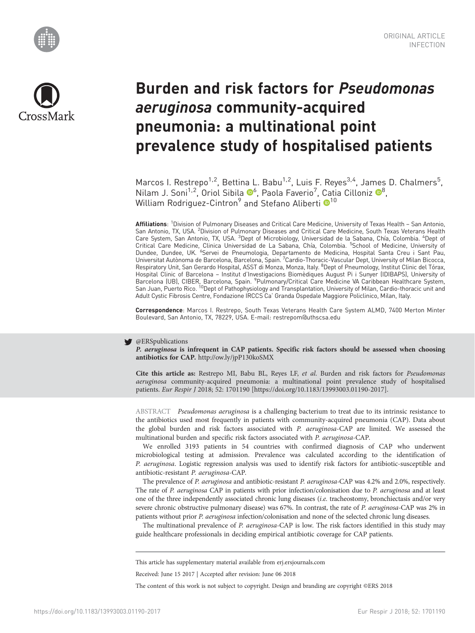



# Burden and risk factors for Pseudomonas aeruginosa community-acquired pneumonia: a multinational point prevalence study of hospitalised patients

Marcos I. Restrepo<sup>1,2</sup>, Bettina L. Babu<sup>1,2</sup>, Luis F. Reyes<sup>3,4</sup>, James D. Chalmers<sup>5</sup>, Nilam J. Soni<sup>1,2</sup>, Oriol Sibila <sup>®[6](http://orcid.org/0000-0002-4833-6713)</sup>, Paola Faverio<sup>7</sup>, Catia Cilloniz <sup>®[8](https://orcid.org/0000-0002-4646-9838)</sup>, William Rodriguez-Cintron<sup>9</sup> and Stefano Aliberti <sup>[1](https://orcid.org/0000-0002-0090-4531)0</sup><sup>10</sup>

Affiliations: <sup>1</sup>Division of Pulmonary Diseases and Critical Care Medicine, University of Texas Health – San Antonio, San Antonio, TX, USA. <sup>2</sup>Division of Pulmonary Diseases and Critical Care Medicine, South Texas Veterans Health Care System, San Antonio, TX, USA. <sup>3</sup>Dept of Microbiology, Universidad de la Sabana, Chía, Colombia. <sup>4</sup>Dept of Critical Care Medicine, Clinica Universidad de La Sabana, Chía, Colombia. <sup>5</sup>School of Medicine, University of<br>Dundee, Dundee, UK. <sup>6</sup>Servei de Pneumologia, Departamento de Medicina, Hospital Santa Creu i Sant Pau, Universitat Autònoma de Barcelona, Barcelona, Spain. <sup>7</sup>Cardio-Thoracic-Vascular Dept, University of Milan Bicocca, Respiratory Unit, San Gerardo Hospital, ASST di Monza, Monza, Italy. <sup>8</sup>Dept of Pneumology, Institut Clinic del Tórax, Hospital Clinic of Barcelona – Institut d'Investigacions Biomèdiques August Pi i Sunyer (IDIBAPS), University of Barcelona (UB), CIBER, Barcelona, Spain. <sup>9</sup>Pulmonary/Critical Care Medicine VA Caribbean Healthcare System,<br>San Juan, Puerto Rico. <sup>10</sup>Dept of Pathophysiology and Transplantation, University of Milan, Cardio-thoracic unit Adult Cystic Fibrosis Centre, Fondazione IRCCS Ca' Granda Ospedale Maggiore Policlinico, Milan, Italy.

Correspondence: Marcos I. Restrepo, South Texas Veterans Health Care System ALMD, 7400 Merton Minter Boulevard, San Antonio, TX, 78229, USA. E-mail: [restrepom@uthscsa.edu](mailto:restrepom@uthscsa.edu)

#### **W** @ERSpublications

P. aeruginosa is infrequent in CAP patients. Specific risk factors should be assessed when choosing antibiotics for CAP. <http://ow.ly/jpP130koSMX>

Cite this article as: Restrepo MI, Babu BL, Reyes LF, et al. Burden and risk factors for Pseudomonas aeruginosa community-acquired pneumonia: a multinational point prevalence study of hospitalised patients. Eur Respir J 2018; 52: 1701190 [\[https://doi.org/10.1183/13993003.01190-2017\].](https://doi.org/10.1183/13993003.01190-2017)

ABSTRACT Pseudomonas aeruginosa is a challenging bacterium to treat due to its intrinsic resistance to the antibiotics used most frequently in patients with community-acquired pneumonia (CAP). Data about the global burden and risk factors associated with P. aeruginosa-CAP are limited. We assessed the multinational burden and specific risk factors associated with P. aeruginosa-CAP.

We enrolled 3193 patients in 54 countries with confirmed diagnosis of CAP who underwent microbiological testing at admission. Prevalence was calculated according to the identification of P. aeruginosa. Logistic regression analysis was used to identify risk factors for antibiotic-susceptible and antibiotic-resistant P. aeruginosa-CAP.

The prevalence of P. aeruginosa and antibiotic-resistant P. aeruginosa-CAP was 4.2% and 2.0%, respectively. The rate of P. aeruginosa CAP in patients with prior infection/colonisation due to P. aeruginosa and at least one of the three independently associated chronic lung diseases (i.e. tracheostomy, bronchiectasis and/or very severe chronic obstructive pulmonary disease) was 67%. In contrast, the rate of P. aeruginosa-CAP was 2% in patients without prior P. aeruginosa infection/colonisation and none of the selected chronic lung diseases.

The multinational prevalence of P. aeruginosa-CAP is low. The risk factors identified in this study may guide healthcare professionals in deciding empirical antibiotic coverage for CAP patients.

This article has supplementary material available from<erj.ersjournals.com>

Received: June 15 2017 | Accepted after revision: June 06 2018

The content of this work is not subject to copyright. Design and branding are copyright ©ERS 2018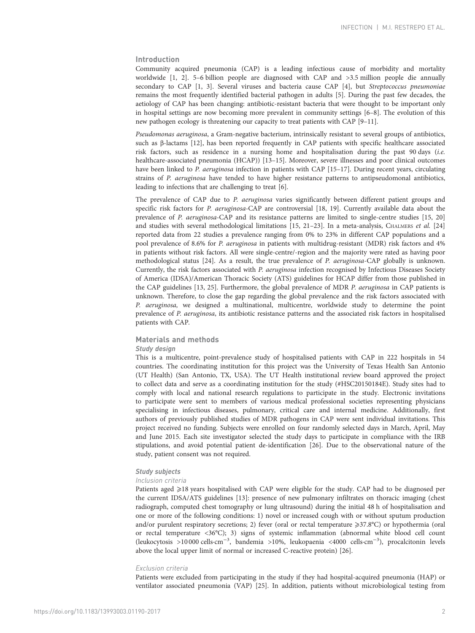### Introduction

Community acquired pneumonia (CAP) is a leading infectious cause of morbidity and mortality worldwide [\[1](#page-12-0), [2\]](#page-12-0). 5–6 billion people are diagnosed with CAP and >3.5 million people die annually secondary to CAP [[1](#page-12-0), [3](#page-12-0)]. Several viruses and bacteria cause CAP [\[4](#page-12-0)], but Streptococcus pneumoniae remains the most frequently identified bacterial pathogen in adults [[5](#page-12-0)]. During the past few decades, the aetiology of CAP has been changing: antibiotic-resistant bacteria that were thought to be important only in hospital settings are now becoming more prevalent in community settings [[6](#page-12-0)–[8\]](#page-12-0). The evolution of this new pathogen ecology is threatening our capacity to treat patients with CAP [[9](#page-12-0)–[11](#page-12-0)].

Pseudomonas aeruginosa, a Gram-negative bacterium, intrinsically resistant to several groups of antibiotics, such as β-lactams [\[12\]](#page-12-0), has been reported frequently in CAP patients with specific healthcare associated risk factors, such as residence in a nursing home and hospitalisation during the past 90 days (i.e. healthcare-associated pneumonia (HCAP)) [\[13](#page-12-0)–[15](#page-12-0)]. Moreover, severe illnesses and poor clinical outcomes have been linked to P. aeruginosa infection in patients with CAP [[15](#page-12-0)–[17\]](#page-12-0). During recent years, circulating strains of P. aeruginosa have tended to have higher resistance patterns to antipseudomonal antibiotics, leading to infections that are challenging to treat [\[6\]](#page-12-0).

The prevalence of CAP due to P. aeruginosa varies significantly between different patient groups and specific risk factors for P. aeruginosa-CAP are controversial [\[18](#page-12-0), [19](#page-12-0)]. Currently available data about the prevalence of P. aeruginosa-CAP and its resistance patterns are limited to single-centre studies [\[15, 20](#page-12-0)] and studies with several methodological limitations [\[15, 21](#page-12-0)–[23](#page-12-0)]. In a meta-analysis, CHALMERS et al. [[24](#page-12-0)] reported data from 22 studies a prevalence ranging from 0% to 23% in different CAP populations and a pool prevalence of 8.6% for P. aeruginosa in patients with multidrug-resistant (MDR) risk factors and 4% in patients without risk factors. All were single-centre/-region and the majority were rated as having poor methodological status [[24](#page-12-0)]. As a result, the true prevalence of P. aeruginosa-CAP globally is unknown. Currently, the risk factors associated with P. aeruginosa infection recognised by Infectious Diseases Society of America (IDSA)/American Thoracic Society (ATS) guidelines for HCAP differ from those published in the CAP guidelines [\[13](#page-12-0), [25\]](#page-12-0). Furthermore, the global prevalence of MDR P. aeruginosa in CAP patients is unknown. Therefore, to close the gap regarding the global prevalence and the risk factors associated with P. aeruginosa, we designed a multinational, multicentre, worldwide study to determine the point prevalence of P. aeruginosa, its antibiotic resistance patterns and the associated risk factors in hospitalised patients with CAP.

#### Materials and methods

#### Study design

This is a multicentre, point-prevalence study of hospitalised patients with CAP in 222 hospitals in 54 countries. The coordinating institution for this project was the University of Texas Health San Antonio (UT Health) (San Antonio, TX, USA). The UT Health institutional review board approved the project to collect data and serve as a coordinating institution for the study (#HSC20150184E). Study sites had to comply with local and national research regulations to participate in the study. Electronic invitations to participate were sent to members of various medical professional societies representing physicians specialising in infectious diseases, pulmonary, critical care and internal medicine. Additionally, first authors of previously published studies of MDR pathogens in CAP were sent individual invitations. This project received no funding. Subjects were enrolled on four randomly selected days in March, April, May and June 2015. Each site investigator selected the study days to participate in compliance with the IRB stipulations, and avoid potential patient de-identification [\[26\]](#page-12-0). Due to the observational nature of the study, patient consent was not required.

#### Study subjects

#### Inclusion criteria

Patients aged ≥18 years hospitalised with CAP were eligible for the study. CAP had to be diagnosed per the current IDSA/ATS guidelines [[13\]](#page-12-0): presence of new pulmonary infiltrates on thoracic imaging (chest radiograph, computed chest tomography or lung ultrasound) during the initial 48 h of hospitalisation and one or more of the following conditions: 1) novel or increased cough with or without sputum production and/or purulent respiratory secretions; 2) fever (oral or rectal temperature  $\geq 37.8$ °C) or hypothermia (oral or rectal temperature <36°C); 3) signs of systemic inflammation (abnormal white blood cell count (leukocytosis >10 000 cells·cm−<sup>3</sup> , bandemia >10%, leukopaenia <4000 cells·cm−<sup>3</sup> ), procalcitonin levels above the local upper limit of normal or increased C-reactive protein) [[26](#page-12-0)].

#### Exclusion criteria

Patients were excluded from participating in the study if they had hospital-acquired pneumonia (HAP) or ventilator associated pneumonia (VAP) [\[25](#page-12-0)]. In addition, patients without microbiological testing from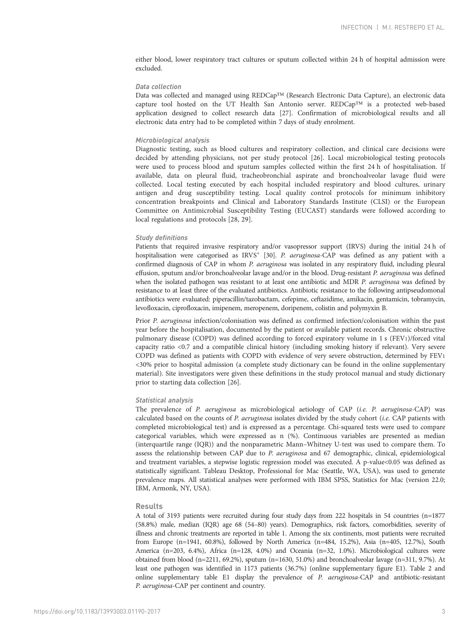either blood, lower respiratory tract cultures or sputum collected within 24 h of hospital admission were excluded.

#### Data collection

Data was collected and managed using REDCap™ (Research Electronic Data Capture), an electronic data capture tool hosted on the UT Health San Antonio server. REDCap™ is a protected web-based application designed to collect research data [[27](#page-13-0)]. Confirmation of microbiological results and all electronic data entry had to be completed within 7 days of study enrolment.

#### Microbiological analysis

Diagnostic testing, such as blood cultures and respiratory collection, and clinical care decisions were decided by attending physicians, not per study protocol [[26\]](#page-12-0). Local microbiological testing protocols were used to process blood and sputum samples collected within the first 24 h of hospitalisation. If available, data on pleural fluid, tracheobronchial aspirate and bronchoalveolar lavage fluid were collected. Local testing executed by each hospital included respiratory and blood cultures, urinary antigen and drug susceptibility testing. Local quality control protocols for minimum inhibitory concentration breakpoints and Clinical and Laboratory Standards Institute (CLSI) or the European Committee on Antimicrobial Susceptibility Testing (EUCAST) standards were followed according to local regulations and protocols [\[28](#page-13-0), [29\]](#page-13-0).

#### Study definitions

Patients that required invasive respiratory and/or vasopressor support (IRVS) during the initial 24 h of hospitalisation were categorised as IRVS<sup>+</sup> [[30](#page-13-0)]. P. aeruginosa-CAP was defined as any patient with a confirmed diagnosis of CAP in whom P. aeruginosa was isolated in any respiratory fluid, including pleural effusion, sputum and/or bronchoalveolar lavage and/or in the blood. Drug-resistant P. aeruginosa was defined when the isolated pathogen was resistant to at least one antibiotic and MDR P. aeruginosa was defined by resistance to at least three of the evaluated antibiotics. Antibiotic resistance to the following antipseudomonal antibiotics were evaluated: piperacillin/tazobactam, cefepime, ceftazidime, amikacin, gentamicin, tobramycin, levofloxacin, ciprofloxacin, imipenem, meropenem, doripenem, colistin and polymyxin B.

Prior P. aeruginosa infection/colonisation was defined as confirmed infection/colonisation within the past year before the hospitalisation, documented by the patient or available patient records. Chronic obstructive pulmonary disease (COPD) was defined according to forced expiratory volume in 1 s (FEV1)/forced vital capacity ratio <0.7 and a compatible clinical history (including smoking history if relevant). Very severe COPD was defined as patients with COPD with evidence of very severe obstruction, determined by FEV1 <30% prior to hospital admission (a complete study dictionary can be found in the [online supplementary](http://erj.ersjournals.com/lookup/doi/10.1183/13993003.01190-2017.figures-only#fig-data-supplementary-materials) [material](http://erj.ersjournals.com/lookup/doi/10.1183/13993003.01190-2017.figures-only#fig-data-supplementary-materials)). Site investigators were given these definitions in the study protocol manual and study dictionary prior to starting data collection [[26](#page-12-0)].

#### Statistical analysis

The prevalence of P. aeruginosa as microbiological aetiology of CAP (i.e. P. aeruginosa-CAP) was calculated based on the counts of P. aeruginosa isolates divided by the study cohort (i.e. CAP patients with completed microbiological test) and is expressed as a percentage. Chi-squared tests were used to compare categorical variables, which were expressed as n (%). Continuous variables are presented as median (interquartile range (IQR)) and the nonparametric Mann–Whitney U-test was used to compare them. To assess the relationship between CAP due to P. aeruginosa and 67 demographic, clinical, epidemiological and treatment variables, a stepwise logistic regression model was executed. A p-value<0.05 was defined as statistically significant. Tableau Desktop, Professional for Mac (Seattle, WA, USA), was used to generate prevalence maps. All statistical analyses were performed with IBM SPSS, Statistics for Mac (version 22.0; IBM, Armonk, NY, USA).

#### Results

A total of 3193 patients were recruited during four study days from 222 hospitals in 54 countries (n=1877 (58.8%) male, median (IQR) age 68 (54–80) years). Demographics, risk factors, comorbidities, severity of illness and chronic treatments are reported in [table 1.](#page-3-0) Among the six continents, most patients were recruited from Europe (n=1941, 60.8%), followed by North America (n=484, 15.2%), Asia (n=405, 12.7%), South America (n=203, 6.4%), Africa (n=128, 4.0%) and Oceania (n=32, 1.0%). Microbiological cultures were obtained from blood (n=2211, 69.2%), sputum (n=1630, 51.0%) and bronchoalveolar lavage (n=311, 9.7%). At least one pathogen was identified in 1173 patients (36.7%) [\(online supplementary figure E1](http://erj.ersjournals.com/lookup/doi/10.1183/13993003.01190-2017.figures-only#fig-data-supplementary-materials)). [Table 2](#page-5-0) and [online supplementary](http://erj.ersjournals.com/lookup/doi/10.1183/13993003.01190-2017.figures-only#fig-data-supplementary-materials) table E1 display the prevalence of P. aeruginosa-CAP and antibiotic-resistant P. aeruginosa-CAP per continent and country.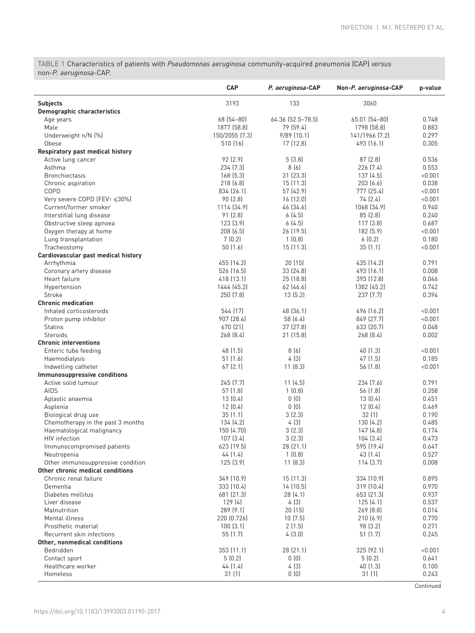<span id="page-3-0"></span>TABLE 1 Characteristics of patients with Pseudomonas aeruginosa community-acquired pneumonia (CAP) versus non-P. aeruginosa-CAP.

|                                     | <b>CAP</b>         | P. aeruginosa-CAP | Non-P. aeruginosa-CAP | p-value        |
|-------------------------------------|--------------------|-------------------|-----------------------|----------------|
| <b>Subjects</b>                     | 3193               | 133               | 3060                  |                |
| <b>Demographic characteristics</b>  |                    |                   |                       |                |
| Age years                           | 68 (54 - 80)       | 64.36 (52.5-78.5) | 65.01 (54-80)         | 0.748          |
| Male                                | 1877 (58.8)        | 79 (59.4)         | 1798 (58.8)           | 0.883          |
| Underweight n/N (%)                 | 150/2055 [7.3]     | $9/89$ $(10.1)$   | 141/1966 [7.2]        | 0.297          |
| Obese                               | 510 (16)           | 17 (12.8)         | 493 (16.1)            | 0.305          |
| Respiratory past medical history    |                    |                   |                       |                |
| Active lung cancer                  | 92 (2.9)           | 5(3.8)            | 87(2.8)               | 0.536          |
| Asthma                              | 234 [7.3]          | 8(6)              | 226 (7.4)             | 0.553          |
| <b>Bronchiectasis</b>               | 168(5.3)           | 31 (23.3)         | 137 (4.5)             | < 0.001        |
| Chronic aspiration                  | 218 [6.8]          | 15(11.3)          | 203(6.6)              | 0.038          |
| COPD                                | 834 (26.1)         | 57 (42.9)         | 777 (25.4)            | < 0.001        |
| Very severe COPD (FEV1 ≤30%)        | 90 (2.8)           | 16 (12.0)         | 74 (2.4)              | < 0.001        |
| Current/former smoker               | 1114 (34.9)        | 46 (34.6)         | 1068 (34.9)           | 0.940          |
| Interstitial lung disease           | 91 (2.8)           | 6(4.5)            | 85(2.8)               | 0.240          |
| Obstructive sleep apnoea            | 123(3.9)           | 6(4.5)            | 117(3.8)              | 0.687          |
| Oxygen therapy at home              | 208(6.5)           | 26 (19.5)         | 182 (5.9)             | < 0.001        |
| Lung transplantation                | 7(0.2)             | 1(0.8)            | 6(0.2)                | 0.180          |
| Tracheostomy                        | 50(1.6)            | 15 (11.3)         | 35(1.1)               | < 0.001        |
| Cardiovascular past medical history |                    |                   |                       |                |
| Arrhythmia                          | 455 (14.2)         | 20(15)            | 435 (14.2)            | 0.791          |
| Coronary artery disease             | 526 (16.5)         | 33 (24.8)         | 493 (16.1)            | 0.008          |
| Heart failure                       | 418 (13.1)         | 25 (18.8)         | 393 [12.8]            | 0.046          |
| Hypertension                        | 1444 (45.2)        | 62 (46.6)         | 1382 (45.2)           | 0.742          |
| Stroke                              | 250 (7.8)          | 13(5.2)           | 237 (7.7)             | 0.394          |
| <b>Chronic medication</b>           |                    |                   |                       |                |
| Inhaled corticosteroids             | 544 (17)           | 48 (36.1)         | 496 (16.2)            | < 0.001        |
| Proton pump inhibitor               | 907 (28.4)         | 58 (6.4)          | 849 (27.7)            | < 0.001        |
| <b>Statins</b>                      | 670 (21)           | 37 (27.8)         | 633 (20.7)            | 0.048          |
| <b>Steroids</b>                     | 268 (8.4)          | 21 (15.8)         | 268 (8.4)             | 0.002          |
| <b>Chronic interventions</b>        |                    |                   |                       |                |
| Enteric tube feeding                | 48 (1.5)           | 8(6)              | 40 (1.3)              | < 0.001        |
| Haemodialysis                       | 51(1.6)            | 4(3)              | 47(1.5)               | 0.185          |
| Indwelling catheter                 | 67(2.1)            | 11(8.3)           | 56 (1.8)              | < 0.001        |
| Immunosuppressive conditions        |                    |                   |                       |                |
| Active solid tumour                 | 245 (7.7)          | 11(4.5)           | 234 [7.6]             | 0.791          |
| <b>AIDS</b>                         | 57(1.8)<br>13(0.4) | 1(0.8)            | 56 (1.8)              | 0.358          |
| Aplastic anaemia                    |                    | 0(0)<br>0(0)      | 13(0.4)               | 0.451          |
| Asplenia<br>Biological drug use     | 12(0.4)<br>35(1.1) | 3(2.3)            | 12(0.4)<br>32(1)      | 0.469<br>0.190 |
| Chemotherapy in the past 3 months   | 134 (4.2)          | 4 (3)             | 130 (4.2)             | 0.485          |
| Haematological malignancy           | 150 (4.70)         | 3(2.3)            | 147 (4.8)             | 0.174          |
| HIV infection                       | 107 (3.4)          | 3(2.3)            | 104 (3.4)             | 0.473          |
| Immunocompromised patients          | 623 (19.5)         | 28 (21.1)         | 595 (19.4)            | 0.647          |
| Neutropenia                         | 44(1.4)            | 1(0.8)            | 43 (1.4)              | 0.527          |
| Other immunosuppressive condition   | 125(3.9)           | 11 [8.3]          | 114(3.7)              | 0.008          |
| Other chronic medical conditions    |                    |                   |                       |                |
| Chronic renal failure               | 349 (10.9)         | 15 (11.3)         | 334 (10.9)            | 0.895          |
| Dementia                            | 333 (10.4)         | 14 (10.5)         | 319 (10.4)            | 0.970          |
| Diabetes mellitus                   | 681 (21.3)         | 28 (4.1)          | 653 (21.3)            | 0.937          |
| Liver disease                       | 129 (4)            | 4(3)              | 125(4.1)              | 0.537          |
| Malnutrition                        | 289 (9.1)          | 20 (15)           | 269[8.8]              | 0.014          |
| Mental illness                      | 220 (0.726)        | 10(7.5)           | 210(6.9)              | 0.770          |
| Prosthetic material                 | 100(3.1)           | 2(1.5)            | 98 (3.2)              | 0.271          |
| Recurrent skin infections           | 55 (1.7)           | 4(3.0)            | 51(1.7)               | 0.245          |
| Other, nonmedical conditions        |                    |                   |                       |                |
| Bedridden                           | 353 (11.1)         | 28 (21.1)         | 325 (92.1)            | 0.001          |
| Contact sport                       | 5(0.2)             | 0(0)              | 5(0.2)                | 0.641          |
| Healthcare worker                   | 44 (1.4)           | 4(3)              | 40 (1.3)              | 0.100          |
| Homeless                            | 31(1)              | 0(0)              | 31 (1)                | 0.243          |

**Continued**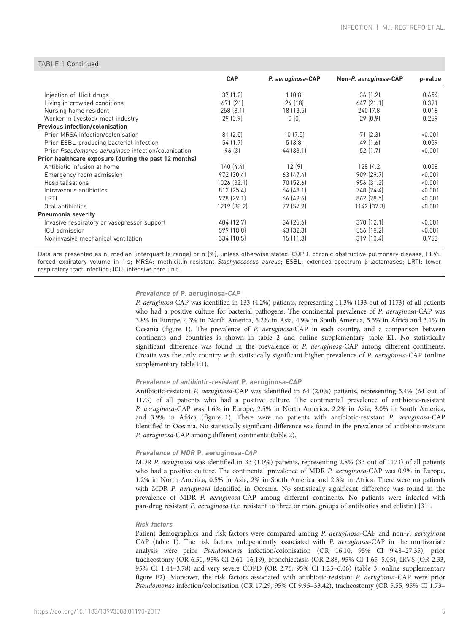| Non-P. aeruginosa-CAP<br>p-value |                                                                                                                                                                                                               |
|----------------------------------|---------------------------------------------------------------------------------------------------------------------------------------------------------------------------------------------------------------|
| 36(1.2)<br>0.654                 |                                                                                                                                                                                                               |
| 647 (21.1)<br>0.391              |                                                                                                                                                                                                               |
| 240 [7.8]<br>0.018               |                                                                                                                                                                                                               |
| 29(0.9)<br>0.259                 |                                                                                                                                                                                                               |
|                                  |                                                                                                                                                                                                               |
| 71(2.3)<br>< 0.001               |                                                                                                                                                                                                               |
| 49 (1.6)<br>0.059                |                                                                                                                                                                                                               |
| 52 (1.7)<br>< 0.001              |                                                                                                                                                                                                               |
|                                  |                                                                                                                                                                                                               |
| 128(4.2)<br>0.008                |                                                                                                                                                                                                               |
| 909 (29.7)<br>< 0.001            |                                                                                                                                                                                                               |
| 956 [31.2]<br>< 0.001            |                                                                                                                                                                                                               |
| 748 (24.4)<br>< 0.001            |                                                                                                                                                                                                               |
| 862 (28.5)<br>< 0.001            |                                                                                                                                                                                                               |
| 1142 (37.3)<br>< 0.001           |                                                                                                                                                                                                               |
|                                  |                                                                                                                                                                                                               |
| 370 (12.1)<br>< 0.001            |                                                                                                                                                                                                               |
| 556 (18.2)<br>< 0.001            |                                                                                                                                                                                                               |
| 319 (10.4)<br>0.753              |                                                                                                                                                                                                               |
|                                  | P. aeruginosa-CAP<br>1(0.8)<br>24 (18)<br>18 (13.5)<br>0(0)<br>10(7.5)<br>5(3.8)<br>44 (33.1)<br>12(9)<br>63 (47.4)<br>70 (52.6)<br>64(48.1)<br>66 (49.6)<br>77 (57.9)<br>34 (25.6)<br>43 (32.3)<br>15 (11.3) |

# $TAD1 = 10$   $C_1$

Data are presented as n, median (interquartile range) or n (%), unless otherwise stated. COPD: chronic obstructive pulmonary disease; FEV1: forced expiratory volume in 1 s; MRSA: methicillin-resistant Staphylococcus aureus; ESBL: extended-spectrum β-lactamases; LRTI: lower respiratory tract infection; ICU: intensive care unit.

#### Prevalence of P. aeruginosa-CAP

P. aeruginosa-CAP was identified in 133 (4.2%) patients, representing 11.3% (133 out of 1173) of all patients who had a positive culture for bacterial pathogens. The continental prevalence of P. aeruginosa-CAP was 3.8% in Europe, 4.3% in North America, 5.2% in Asia, 4.9% in South America, 5.5% in Africa and 3.1% in Oceania [\(figure 1](#page-6-0)). The prevalence of P. aeruginosa-CAP in each country, and a comparison between continents and countries is shown in [table 2](#page-5-0) and [online supplementary table E1.](http://erj.ersjournals.com/lookup/doi/10.1183/13993003.01190-2017.figures-only#fig-data-supplementary-materials) No statistically significant difference was found in the prevalence of P. aeruginosa-CAP among different continents. Croatia was the only country with statistically significant higher prevalence of P. aeruginosa-CAP ([online](http://erj.ersjournals.com/lookup/doi/10.1183/13993003.01190-2017.figures-only#fig-data-supplementary-materials) [supplementary table E1](http://erj.ersjournals.com/lookup/doi/10.1183/13993003.01190-2017.figures-only#fig-data-supplementary-materials)).

#### Prevalence of antibiotic-resistant P. aeruginosa-CAP

Antibiotic-resistant P. aeruginosa-CAP was identified in 64 (2.0%) patients, representing 5.4% (64 out of 1173) of all patients who had a positive culture. The continental prevalence of antibiotic-resistant P. aeruginosa-CAP was 1.6% in Europe, 2.5% in North America, 2.2% in Asia, 3.0% in South America, and 3.9% in Africa [\(figure 1\)](#page-6-0). There were no patients with antibiotic-resistant P. aeruginosa-CAP identified in Oceania. No statistically significant difference was found in the prevalence of antibiotic-resistant P. aeruginosa-CAP among different continents ([table 2](#page-5-0)).

#### Prevalence of MDR P. aeruginosa-CAP

MDR P. aeruginosa was identified in 33 (1.0%) patients, representing 2.8% (33 out of 1173) of all patients who had a positive culture. The continental prevalence of MDR P. aeruginosa-CAP was 0.9% in Europe, 1.2% in North America, 0.5% in Asia, 2% in South America and 2.3% in Africa. There were no patients with MDR P. aeruginosa identified in Oceania. No statistically significant difference was found in the prevalence of MDR P. aeruginosa-CAP among different continents. No patients were infected with pan-drug resistant P. aeruginosa (i.e. resistant to three or more groups of antibiotics and colistin) [[31\]](#page-13-0).

#### Risk factors

Patient demographics and risk factors were compared among P. aeruginosa-CAP and non-P. aeruginosa CAP ([table 1\)](#page-3-0). The risk factors independently associated with P. aeruginosa-CAP in the multivariate analysis were prior Pseudomonas infection/colonisation (OR 16.10, 95% CI 9.48–27.35), prior tracheostomy (OR 6.50, 95% CI 2.61–16.19), bronchiectasis (OR 2.88, 95% CI 1.65–5.05), IRVS (OR 2.33, 95% CI 1.44–3.78) and very severe COPD (OR 2.76, 95% CI 1.25–6.06) ([table 3](#page-7-0), [online supplementary](http://erj.ersjournals.com/lookup/doi/10.1183/13993003.01190-2017.figures-only#fig-data-supplementary-materials) [figure E2](http://erj.ersjournals.com/lookup/doi/10.1183/13993003.01190-2017.figures-only#fig-data-supplementary-materials)). Moreover, the risk factors associated with antibiotic-resistant P. aeruginosa-CAP were prior Pseudomonas infection/colonisation (OR 17.29, 95% CI 9.95–33.42), tracheostomy (OR 5.55, 95% CI 1.73–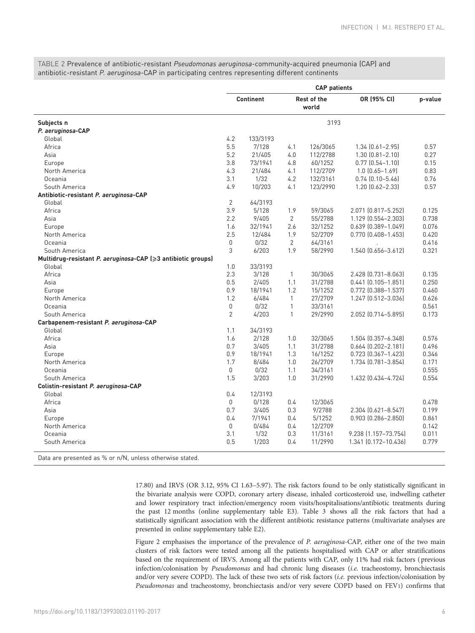<span id="page-5-0"></span>TABLE 2 Prevalence of antibiotic-resistant Pseudomonas aeruginosa-community-acquired pneumonia (CAP) and antibiotic-resistant P. aeruginosa-CAP in participating centres representing different continents

|                                                                         | <b>CAP</b> patients |          |                      |          |                           |         |  |
|-------------------------------------------------------------------------|---------------------|----------|----------------------|----------|---------------------------|---------|--|
|                                                                         | <b>Continent</b>    |          | Rest of the<br>world |          | OR (95% CI)               | p-value |  |
| Subjects n                                                              |                     |          | 3193                 |          |                           |         |  |
| P. aeruginosa-CAP                                                       |                     |          |                      |          |                           |         |  |
| Global                                                                  | 4.2                 | 133/3193 |                      |          |                           |         |  |
| Africa                                                                  | 5.5                 | 7/128    | 4.1                  | 126/3065 | $1.34$ $(0.61 - 2.95)$    | 0.57    |  |
| Asia                                                                    | 5.2                 | 21/405   | 4.0                  | 112/2788 | $1.30$ $(0.81 - 2.10)$    | 0.27    |  |
| Europe                                                                  | 3.8                 | 73/1941  | 4.8                  | 60/1252  | $0.77$ $(0.54 - 1.10)$    | 0.15    |  |
| North America                                                           | 4.3                 | 21/484   | 4.1                  | 112/2709 | $1.0$ $(0.65 - 1.69)$     | 0.83    |  |
| Oceania                                                                 | 3.1                 | 1/32     | 4.2                  | 132/3161 | $0.74$ $(0.10 - 5.46)$    | 0.76    |  |
| South America                                                           | 4.9                 | 10/203   | 4.1                  | 123/2990 | $1.20$ $(0.62 - 2.33)$    | 0.57    |  |
| Antibiotic-resistant P. aeruginosa-CAP                                  |                     |          |                      |          |                           |         |  |
| Global                                                                  | $\overline{2}$      | 64/3193  |                      |          |                           |         |  |
| Africa                                                                  | 3.9                 | 5/128    | 1.9                  | 59/3065  | 2.071 (0.817-5.252)       | 0.125   |  |
| Asia                                                                    | 2.2                 | 9/405    | 2                    | 55/2788  | 1.129 (0.554-2.303)       | 0.738   |  |
| Europe                                                                  | 1.6                 | 32/1941  | 2.6                  | 32/1252  | $0.639$ $(0.389 - 1.049)$ | 0.076   |  |
| North America                                                           | 2.5                 | 12/484   | 1.9                  | 52/2709  | $0.770$ $(0.408 - 1.453)$ | 0.420   |  |
| Oceania                                                                 | 0                   | 0/32     | 2                    | 64/3161  |                           | 0.416   |  |
| South America                                                           | 3                   | 6/203    | 1.9                  | 58/2990  | 1.540 (0.656-3.612)       | 0.321   |  |
| Multidrug-resistant P. aeruginosa-CAP (≥3 antibiotic groups)            |                     |          |                      |          |                           |         |  |
| Global                                                                  | 1.0                 | 33/3193  |                      |          |                           |         |  |
| Africa                                                                  | 2.3                 | 3/128    | 1                    | 30/3065  | 2.428 (0.731-8.063)       | 0.135   |  |
| Asia                                                                    | 0.5                 | 2/405    | 1.1                  | 31/2788  | $0.441$ $(0.105 - 1.851)$ | 0.250   |  |
| Europe                                                                  | 0.9                 | 18/1941  | 1.2                  | 15/1252  | $0.772$ $(0.388 - 1.537)$ | 0.460   |  |
| North America                                                           | 1.2                 | 6/484    | 1                    | 27/2709  | 1.247 (0.512-3.036)       | 0.626   |  |
| Oceania                                                                 | 0                   | 0/32     | $\mathbf{1}$         | 33/3161  |                           | 0.561   |  |
| South America                                                           | $\overline{2}$      | 4/203    | 1                    | 29/2990  | 2.052 (0.714-5.895)       | 0.173   |  |
| Carbapenem-resistant P. aeruginosa-CAP                                  |                     |          |                      |          |                           |         |  |
| Global                                                                  | 1.1                 | 34/3193  |                      |          |                           |         |  |
| Africa                                                                  | 1.6                 | 2/128    | 1.0                  | 32/3065  | 1.504 (0.357-6.348)       | 0.576   |  |
| Asia                                                                    | 0.7                 | 3/405    | 1.1                  | 31/2788  | $0.664$ $(0.202 - 2.181)$ | 0.496   |  |
| Europe                                                                  | 0.9                 | 18/1941  | 1.3                  | 16/1252  | $0.723$ $(0.367 - 1.423)$ | 0.346   |  |
| North America                                                           | 1.7                 | 8/484    | 1.0                  | 26/2709  | 1.734 (0.781-3.854)       | 0.171   |  |
| Oceania                                                                 | 0                   | 0/32     | 1.1                  | 34/3161  |                           | 0.555   |  |
| South America                                                           | 1.5                 | 3/203    | 1.0                  | 31/2990  | 1.432 (0.434-4.724)       | 0.554   |  |
| Colistin-resistant P. aeruginosa-CAP                                    |                     |          |                      |          |                           |         |  |
| Global                                                                  | 0.4                 | 12/3193  |                      |          |                           |         |  |
| Africa                                                                  | $\mathbf{0}$        | 0/128    | 0.4                  | 12/3065  |                           | 0.478   |  |
| Asia                                                                    | 0.7                 | 3/405    | 0.3                  | 9/2788   | 2.304 (0.621-8.547)       | 0.199   |  |
| Europe                                                                  | 0.4                 | 7/1941   | 0.4                  | 5/1252   | 0.903 (0.286-2.850)       | 0.861   |  |
| North America                                                           | $\mathbf 0$         | 0/484    | 0.4                  | 12/2709  |                           | 0.142   |  |
| Oceania                                                                 | 3.1                 | 1/32     | 0.3                  | 11/3161  | 9.238 (1.157-73.754)      | 0.011   |  |
| South America                                                           | 0.5                 | 1/203    | 0.4                  | 11/2990  | 1.341 (0.172-10.436)      | 0.779   |  |
| $-1 = -0$ and $\sqrt{N}$ and $\sqrt{N}$<br>a providence in a design and |                     |          |                      |          |                           |         |  |

Data are presented as % or n/N, unless otherwise stated.

17.80) and IRVS (OR 3.12, 95% CI 1.63–5.97). The risk factors found to be only statistically significant in the bivariate analysis were COPD, coronary artery disease, inhaled corticosteroid use, indwelling catheter and lower respiratory tract infection/emergency room visits/hospitalisations/antibiotic treatments during the past 12 months [\(online supplementary table E3\)](http://erj.ersjournals.com/lookup/doi/10.1183/13993003.01190-2017.figures-only#fig-data-supplementary-materials). [Table 3](#page-7-0) shows all the risk factors that had a statistically significant association with the different antibiotic resistance patterns (multivariate analyses are presented in [online supplementary](http://erj.ersjournals.com/lookup/doi/10.1183/13993003.01190-2017.figures-only#fig-data-supplementary-materials) table E2).

[Figure 2](#page-7-0) emphasises the importance of the prevalence of P. aeruginosa-CAP, either one of the two main clusters of risk factors were tested among all the patients hospitalised with CAP or after stratifications based on the requirement of IRVS. Among all the patients with CAP, only 11% had risk factors ( previous infection/colonisation by Pseudomonas and had chronic lung diseases (i.e. tracheostomy, bronchiectasis and/or very severe COPD). The lack of these two sets of risk factors (i.e. previous infection/colonisation by Pseudomonas and tracheostomy, bronchiectasis and/or very severe COPD based on FEV1) confirms that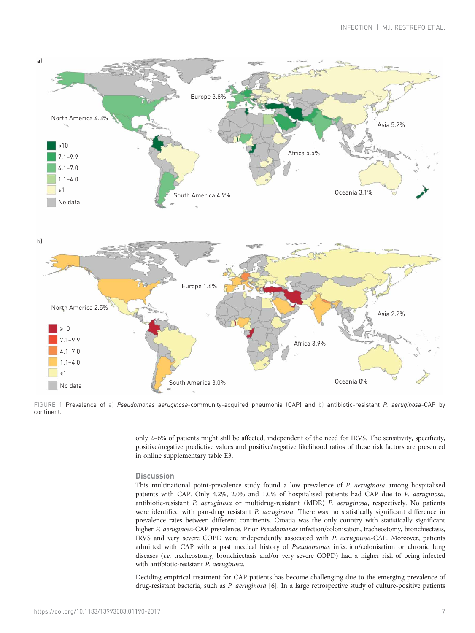<span id="page-6-0"></span>

FIGURE 1 Prevalence of a) Pseudomonas aeruginosa-community-acquired pneumonia (CAP) and b) antibiotic-resistant P. aeruginosa-CAP by continent.

only 2–6% of patients might still be affected, independent of the need for IRVS. The sensitivity, specificity, positive/negative predictive values and positive/negative likelihood ratios of these risk factors are presented in [online supplementary table E3](http://erj.ersjournals.com/lookup/doi/10.1183/13993003.01190-2017.figures-only#fig-data-supplementary-materials).

## **Discussion**

This multinational point-prevalence study found a low prevalence of P. aeruginosa among hospitalised patients with CAP. Only 4.2%, 2.0% and 1.0% of hospitalised patients had CAP due to P. aeruginosa, antibiotic-resistant P. aeruginosa or multidrug-resistant (MDR) P. aeruginosa, respectively. No patients were identified with pan-drug resistant P. aeruginosa. There was no statistically significant difference in prevalence rates between different continents. Croatia was the only country with statistically significant higher P. aeruginosa-CAP prevalence. Prior Pseudomonas infection/colonisation, tracheostomy, bronchiectasis, IRVS and very severe COPD were independently associated with P. aeruginosa-CAP. Moreover, patients admitted with CAP with a past medical history of Pseudomonas infection/colonisation or chronic lung diseases (i.e. tracheostomy, bronchiectasis and/or very severe COPD) had a higher risk of being infected with antibiotic-resistant P. aeruginosa.

Deciding empirical treatment for CAP patients has become challenging due to the emerging prevalence of drug-resistant bacteria, such as P. aeruginosa [\[6](#page-12-0)]. In a large retrospective study of culture-positive patients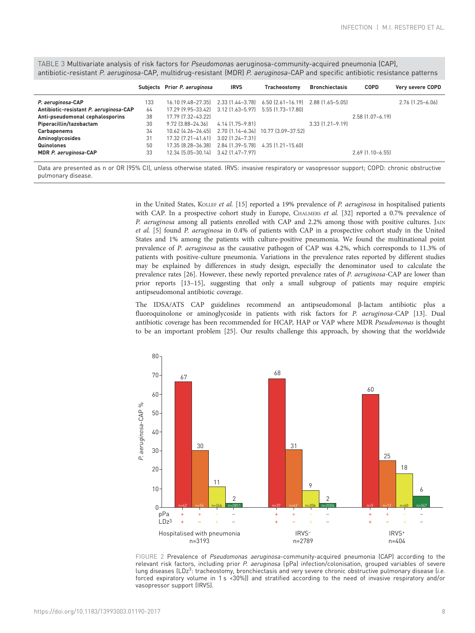<span id="page-7-0"></span>TABLE 3 Multivariate analysis of risk factors for Pseudomonas aeruginosa-community-acquired pneumonia (CAP), antibiotic-resistant P. aeruginosa-CAP, multidrug-resistant (MDR) P. aeruginosa-CAP and specific antibiotic resistance patterns

|                                        |     | Subjects Prior P. aeruginosa                                           | <b>IRVS</b>      | Tracheostomy | <b>Bronchiectasis</b>  | <b>COPD</b>            | Very severe COPD       |
|----------------------------------------|-----|------------------------------------------------------------------------|------------------|--------------|------------------------|------------------------|------------------------|
| P. aeruginosa-CAP                      | 133 | 16.10 [9.48-27.35] 2.33 [1.44-3.78] 6.50 [2.61-16.19] 2.88 [1.65-5.05] |                  |              |                        |                        | $2.76$ $[1.25 - 6.06]$ |
| Antibiotic-resistant P. aeruginosa-CAP | 64  | 17.29 (9.95-33.42) 3.12 (1.63-5.97) 5.55 (1.73-17.80)                  |                  |              |                        |                        |                        |
| Anti-pseudomonal cephalosporins        | 38  | 17.79 (7.32-43.22)                                                     |                  |              |                        | $2.58$ $[1.07 - 6.19]$ |                        |
| Piperacillin/tazobactam                | 30  | 9.72 (3.88-24.36)                                                      | 4.14 (1.75–9.81) |              | $3.33$ $[1.21 - 9.19]$ |                        |                        |
| <b>Carbapenems</b>                     | 34  | 10.62 (4.26-26.45) 2.70 (1.14-6.34) 10.77 (3.09-37.52)                 |                  |              |                        |                        |                        |
| Aminoglycosides                        | 31  | 17.32 (7.21-41.61) 3.02 (1.24-7.31)                                    |                  |              |                        |                        |                        |
| Quinolones                             | 50  | 17.35 [8.28-36.38] 2.84 [1.39-5.78] 4.35 [1.21-15.60]                  |                  |              |                        |                        |                        |
| MDR P. aeruginosa-CAP                  | 33  | 12.34 (5.05-30.14) 3.42 (1.47-7.97)                                    |                  |              |                        | $2.69$ [1.10-6.55]     |                        |
|                                        |     |                                                                        |                  |              |                        |                        |                        |

Data are presented as n or OR (95% CI), unless otherwise stated. IRVS: invasive respiratory or vasopressor support; COPD: chronic obstructive pulmonary disease.

> in the United States, KOLLEF et al. [[15](#page-12-0)] reported a 19% prevalence of P. aeruginosa in hospitalised patients with CAP. In a prospective cohort study in Europe, CHALMERS et al. [\[32\]](#page-13-0) reported a 0.7% prevalence of P. aeruginosa among all patients enrolled with CAP and 2.2% among those with positive cultures. JAIN et al. [[5](#page-12-0)] found P. aeruginosa in 0.4% of patients with CAP in a prospective cohort study in the United States and 1% among the patients with culture-positive pneumonia. We found the multinational point prevalence of P. aeruginosa as the causative pathogen of CAP was 4.2%, which corresponds to 11.3% of patients with positive-culture pneumonia. Variations in the prevalence rates reported by different studies may be explained by differences in study design, especially the denominator used to calculate the prevalence rates [\[26](#page-12-0)]. However, these newly reported prevalence rates of P. aeruginosa-CAP are lower than prior reports [\[13](#page-12-0)–[15](#page-12-0)], suggesting that only a small subgroup of patients may require empiric antipseudomonal antibiotic coverage.

> The IDSA/ATS CAP guidelines recommend an antipseudomonal β-lactam antibiotic plus a fluoroquinolone or aminoglycoside in patients with risk factors for P. aeruginosa-CAP [[13](#page-12-0)]. Dual antibiotic coverage has been recommended for HCAP, HAP or VAP where MDR Pseudomonas is thought to be an important problem [\[25\]](#page-12-0). Our results challenge this approach, by showing that the worldwide



FIGURE 2 Prevalence of Pseudomonas aeruginosa-community-acquired pneumonia (CAP) according to the relevant risk factors, including prior P. aeruginosa (pPa) infection/colonisation, grouped variables of severe lung diseases (LDz<sup>3</sup>: tracheostomy, bronchiectasis and very severe chronic obstructive pulmonary disease (i.e. forced expiratory volume in 1 s <30%)) and stratified according to the need of invasive respiratory and/or vasopressor support (IRVS).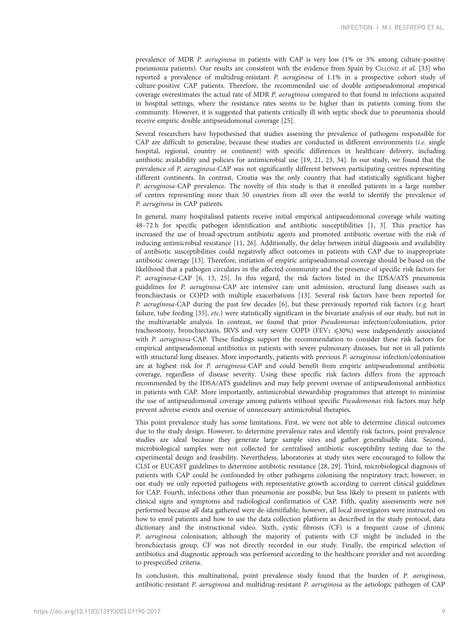prevalence of MDR P. aeruginosa in patients with CAP is very low (1% or 3% among culture-positive pneumonia patients). Our results are consistent with the evidence from Spain by CILLÓNIZ et al. [\[33\]](#page-13-0) who reported a prevalence of multidrug-resistant P. aeruginosa of 1.1% in a prospective cohort study of culture-positive CAP patients. Therefore, the recommended use of double antipseudomonal empirical coverage overestimates the actual rate of MDR P. aeruginosa compared to that found in infections acquired in hospital settings, where the resistance rates seems to be higher than in patients coming from the community. However, it is suggested that patients critically ill with septic shock due to pneumonia should receive empiric double antipseudomonal coverage [[25](#page-12-0)].

Several researchers have hypothesised that studies assessing the prevalence of pathogens responsible for CAP are difficult to generalise, because these studies are conducted in different environments (i.e. single hospital, regional, country or continent) with specific differences in healthcare delivery, including antibiotic availability and policies for antimicrobial use [\[19, 21, 23](#page-12-0), [34](#page-13-0)]. In our study, we found that the prevalence of P. aeruginosa-CAP was not significantly different between participating centres representing different continents. In contrast, Croatia was the only country that had statistically significant higher P. aeruginosa-CAP prevalence. The novelty of this study is that it enrolled patients in a large number of centres representing more than 50 countries from all over the world to identify the prevalence of P. aeruginosa in CAP patients.

In general, many hospitalised patients receive initial empirical antipseudomonal coverage while waiting 48–72 h for specific pathogen identification and antibiotic susceptibilities [\[1, 3\]](#page-12-0). This practice has increased the use of broad-spectrum antibiotic agents and promoted antibiotic overuse with the risk of inducing antimicrobial resistance [\[11, 26](#page-12-0)]. Additionally, the delay between initial diagnosis and availability of antibiotic susceptibilities could negatively affect outcomes in patients with CAP due to inappropriate antibiotic coverage [\[13](#page-12-0)]. Therefore, initiation of empiric antipseudomonal coverage should be based on the likelihood that a pathogen circulates in the affected community and the presence of specific risk factors for P. aeruginosa-CAP [[6](#page-12-0), [13](#page-12-0), [25\]](#page-12-0). In this regard, the risk factors listed in the IDSA/ATS pneumonia guidelines for P. aeruginosa-CAP are intensive care unit admission, structural lung diseases such as bronchiectasis or COPD with multiple exacerbations [\[13\]](#page-12-0). Several risk factors have been reported for P. aeruginosa-CAP during the past few decades  $[6]$  $[6]$  $[6]$ , but these previously reported risk factors (e.g. heart failure, tube feeding [\[35\]](#page-13-0), etc.) were statistically significant in the bivariate analysis of our study, but not in the multivariable analysis. In contrast, we found that prior Pseudomonas infection/colonisation, prior tracheostomy, bronchiectasis, IRVS and very severe COPD (FEV1  $\leq 30\%$ ) were independently associated with P. aeruginosa-CAP. These findings support the recommendation to consider these risk factors for empirical antipseudomonal antibiotics in patients with severe pulmonary diseases, but not in all patients with structural lung diseases. More importantly, patients with previous P. aeruginosa infection/colonisation are at highest risk for P. aeruginosa-CAP and could benefit from empiric antipseudomonal antibiotic coverage, regardless of disease severity. Using these specific risk factors differs from the approach recommended by the IDSA/ATS guidelines and may help prevent overuse of antipseudomonal antibiotics in patients with CAP. More importantly, antimicrobial stewardship programmes that attempt to minimise the use of antipseudomonal coverage among patients without specific Pseudomonas risk factors may help prevent adverse events and overuse of unnecessary antimicrobial therapies.

This point prevalence study has some limitations. First, we were not able to determine clinical outcomes due to the study design. However, to determine prevalence rates and identify risk factors, point prevalence studies are ideal because they generate large sample sizes and gather generalisable data. Second, microbiological samples were not collected for centralised antibiotic susceptibility testing due to the experimental design and feasibility. Nevertheless, laboratories at study sites were encouraged to follow the CLSI or EUCAST guidelines to determine antibiotic resistance [\[28, 29\]](#page-13-0). Third, microbiological diagnosis of patients with CAP could be confounded by other pathogens colonising the respiratory tract; however, in our study we only reported pathogens with representative growth according to current clinical guidelines for CAP. Fourth, infections other than pneumonia are possible, but less likely to present in patients with clinical signs and symptoms and radiological confirmation of CAP. Fifth, quality assessments were not performed because all data gathered were de-identifiable; however, all local investigators were instructed on how to enrol patients and how to use the data collection platform as described in the study protocol, data dictionary and the instructional video. Sixth, cystic fibrosis (CF) is a frequent cause of chronic P. aeruginosa colonisation; although the majority of patients with CF might be included in the bronchiectasis group, CF was not directly recorded in our study. Finally, the empirical selection of antibiotics and diagnostic approach was performed according to the healthcare provider and not according to prespecified criteria.

In conclusion, this multinational, point prevalence study found that the burden of P. aeruginosa, antibiotic-resistant P. aeruginosa and multidrug-resistant P. aeruginosa as the aetiologic pathogen of CAP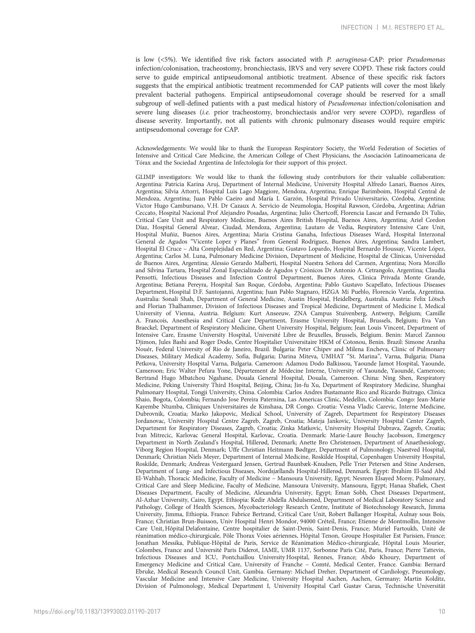is low (<5%). We identified five risk factors associated with P. aeruginosa-CAP: prior Pseudomonas infection/colonisation, tracheostomy, bronchiectasis, IRVS and very severe COPD. These risk factors could serve to guide empirical antipseudomonal antibiotic treatment. Absence of these specific risk factors suggests that the empirical antibiotic treatment recommended for CAP patients will cover the most likely prevalent bacterial pathogens. Empirical antipseudomonal coverage should be reserved for a small subgroup of well-defined patients with a past medical history of Pseudomonas infection/colonisation and severe lung diseases (i.e. prior tracheostomy, bronchiectasis and/or very severe COPD), regardless of disease severity. Importantly, not all patients with chronic pulmonary diseases would require empiric antipseudomonal coverage for CAP.

Acknowledgements: We would like to thank the European Respiratory Society, the World Federation of Societies of Intensive and Critical Care Medicine, the American College of Chest Physicians, the Asociación Latinoamericana de Tórax and the Sociedad Argentina de Infectología for their support of this project.

GLIMP investigators: We would like to thank the following study contributors for their valuable collaboration: Argentina: Patricia Karina Aruj, Department of Internal Medicine, University Hospital Alfredo Lanari, Buenos Aires, Argentina; Silvia Attorri, Hospital Luis Lago Maggiore, Mendoza, Argentina; Enrique Barimboim, Hospital Central de Mendoza, Argentina; Juan Pablo Caeiro and María I. Garzón, Hospital Privado Universitario, Córdoba, Argentina; Victor Hugo Cambursano, V.H. Dr Cazaux A. Servicio de Neumologia, Hospital Rawson, Córdoba, Argentina; Adrian Ceccato, Hospital Nacional Prof Alejandro Posadas, Argentina; Julio Chertcoff, Florencia Lascar and Fernando Di Tulio, Critical Care Unit and Respiratory Medicine, Buenos Aires British Hospital, Buenos Aires, Argentina; Ariel Cordon Díaz, Hospital General Alvear, Ciudad, Mendoza, Argentina; Lautaro de Vedia, Respiratory Intensive Care Unit, Hospital Muñiz, Buenos Aires, Argentina; Maria Cristina Ganaha, Infectious Diseases Ward, Hospital Interzonal General de Agudos "Vicente Lopez y Planes" from General Rodriguez, Buenos Aires, Argentina; Sandra Lambert, Hospital El Cruce – Alta Complejidad en Red, Argentina; Gustavo Lopardo, Hospital Bernardo Houssay, Vicente López, Argentina; Carlos M. Luna, Pulmonary Medicine Division, Department of Medicine, Hospital de Clínicas, Universidad de Buenos Aires, Argentina; Alessio Gerardo Malberti, Hospital Nuestra Señora del Carmen, Argentina; Nora Morcillo and Silvina Tartara, Hospital Zonal Especializado de Agudos y Crónicos Dr Antonio A. Cetrangolo, Argentina; Claudia Pensotti, Infectious Diseases and Infection Control Department, Buenos Aires, Clinica Privada Monte Grande, Argentina; Betiana Pereyra, Hospital San Roque, Córdoba, Argentina; Pablo Gustavo Scapellato, Infectious Diseases Department, Hospital D.F. Santojanni, Argentina; Juan Pablo Stagnaro, HZGA Mi Pueblo, Florencio Varela, Argentina. Australia: Sonali Shah, Department of General Medicine, Austin Hospital, Heidelberg, Australia. Austria: Felix Lötsch and Florian Thalhammer, Division of Infectious Diseases and Tropical Medicine, Department of Medicine I, Medical University of Vienna, Austria. Belgium: Kurt Anseeuw, ZNA Campus Stuivenberg, Antwerp, Belgium; Camille A. Francois, Anesthesia and Critical Care Department, Erasme University Hospital, Brussels, Belgium; Eva Van Braeckel, Department of Respiratory Medicine, Ghent University Hospital, Belgium; Jean Louis Vincent, Department of Intensive Care, Erasme University Hospital, Université Libre de Bruxelles, Brussels, Belgium. Benin: Marcel Zannou Djimon, Jules Bashi and Roger Dodo, Centre Hospitalier Universitaire HKM of Cotonou, Benin. Brazil: Simone Aranha Nouér, Federal University of Rio de Janeiro, Brazil. Bulgaria: Peter Chipev and Milena Encheva, Clinic of Pulmonary Diseases, Military Medical Academy, Sofia, Bulgaria; Darina Miteva, UMHAT "St. Marina", Varna, Bulgaria; Diana Petkova, University Hospital Varna, Bulgaria. Cameroon: Adamou Dodo Balkissou, Yaounde Jamot Hospital, Yaounde, Cameroon; Eric Walter Pefura Yone, Département de Médecine Interne, University of Yaounde, Yaoundé, Cameroon; Bertrand Hugo Mbatchou Ngahane, Douala General Hospital, Douala, Cameroon. China: Ning Shen, Respiratory Medicine, Peking University Third Hospital, Beijing, China; Jin-fu Xu, Department of Respiratory Medicine, Shanghai Pulmonary Hospital, Tongji University, China. Colombia: Carlos Andres Bustamante Rico and Ricardo Buitrago, Clinica Shaio, Bogota, Colombia; Fernando Jose Pereira Paternina, Las Americas Clinic, Medellin, Colombia. Congo: Jean-Marie Kayembe Ntumba, Cliniques Universitaires de Kinshasa, DR Congo. Croatia: Vesna Vladic Carevic, Interne Medicine, Dubrovnik, Croatia; Marko Jakopovic, Medical School, University of Zagreb, Department for Respiratory Diseases Jordanovac, University Hospital Centre Zagreb, Zagreb, Croatia; Mateja Jankovic, University Hospital Center Zagreb, Department for Respiratory Diseases, Zagreb, Croatia; Zinka Matkovic, University Hospital Dubrava, Zagreb, Croatia; Ivan Mitrecic, Karlovac General Hospital, Karlovac, Croatia. Denmark: Marie-Laure Bouchy Jacobsson, Emergency Department in North Zealand's Hospital, Hillerød, Denmark; Anette Bro Christensen, Department of Anaethesiology, Viborg Region Hospital, Denmark; Uffe Christian Heitmann Bødtger, Department of Pulmonology, Naestved Hospital, Denmark; Christian Niels Meyer, Department of Internal Medicine, Roskilde Hospital, Copenhagen University Hospital, Roskilde, Denmark; Andreas Vestergaard Jensen, Gertrud Baunbæk-Knudsen, Pelle Trier Petersen and Stine Andersen, Department of Lung- and Infectious Diseases, Nordsjællands Hospital-Hillerød, Denmark. Egypt: Ibrahim El-Said Abd El-Wahhab, Thoracic Medicine, Faculty of Medicine – Mansoura University, Egypt; Nesreen Elsayed Morsy, Pulmonary, Critical Care and Sleep Medicine, Faculty of Medicine, Mansoura University, Mansoura, Egypt; Hanaa Shafiek, Chest Diseases Department, Faculty of Medicine, Alexandria University, Egypt; Eman Sobh, Chest Diseases Department, Al-Azhar University, Cairo, Egypt. Ethiopia: Kedir Abdella Abdulsemed, Department of Medical Laboratory Science and Pathology, College of Health Sciences, Mycobacteriology Research Centre, Institute of Biotechnology Research, Jimma University, Jimma, Ethiopia. France: Fabrice Bertrand, Critical Care Unit, Robert Ballanger Hospital, Aulnay sous Bois, France; Christian Brun-Buisson, Univ Hospital Henri Mondor, 94000 Créteil, France; Etienne de Montmollin, Intensive Care Unit, Hôpital Delafontaine, Centre hospitalier de Saint-Denis, Saint-Denis, France; Muriel Fartoukh, Unité de réanimation médico-chirurgicale, Pôle Thorax Voies aériennes, Hôpital Tenon, Groupe Hospitalier Est Parisien, France; Jonathan Messika, Publique-Hôpital de Paris, Service de Réanimation Médico-chirurgicale, Hôpital Louis Mourier, Colombes, France and Université Paris Diderot, IAME, UMR 1137, Sorbonne Paris Cité, Paris, France; Pierre Tattevin, Infectious Diseases and ICU, Pontchaillou University Hospital, Rennes, France; Abdo Khoury, Department of Emergency Medicine and Critical Care, University of Franche – Comté, Medical Center, France. Gambia: Bernard Ebruke, Medical Research Council Unit, Gambia. Germany: Michael Dreher, Department of Cardiology, Pneumology, Vascular Medicine and Intensive Care Medicine, University Hospital Aachen, Aachen, Germany; Martin Kolditz, Division of Pulmonology, Medical Department I, University Hospital Carl Gustav Carus, Technische Universität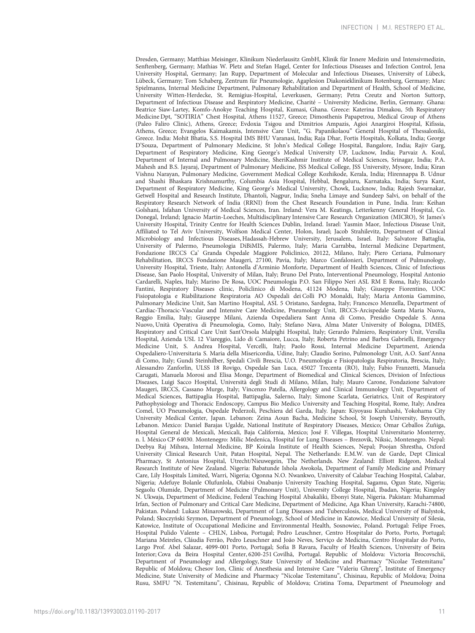Dresden, Germany; Matthias Meisinger, Klinikum Niederlausitz GmbH, Klinik für Innere Medizin und Intensivmedizin, Senftenberg, Germany; Mathias W. Pletz and Stefan Hagel, Center for Infectious Diseases and Infection Control, Jena University Hospital, Germany; Jan Rupp, Department of Molecular and Infectious Diseases, University of Lübeck, Lübeck, Germany; Tom Schaberg, Zentrum für Pneumologie, Agaplesion Diakonieklinikum Rotenburg, Germany; Marc Spielmanns, Internal Medicine Department, Pulmonary Rehabilitation and Department of Health, School of Medicine, University Witten-Herdecke, St. Remigius-Hospital, Leverkusen, Germany; Petra Creutz and Norton Suttorp, Department of Infectious Disease and Respiratory Medicine, Charité – University Medicine, Berlin, Germany. Ghana: Beatrice Siaw-Lartey, Komfo-Anokye Teaching Hospital, Kumasi, Ghana. Greece: Katerina Dimakou, 5th Respiratory Medicine Dpt, "SOTIRIA" Chest Hospital, Athens 11527, Greece; Dimosthenis Papapetrou, Medical Group of Athens (Paleo Faliro Clinic), Athens, Greece; Evdoxia Tsigou and Dimitrios Ampazis, Agioi Anargiroi Hospital, Kifissia, Athens, Greece; Evangelos Kaimakamis, Intensive Care Unit, "G. Papanikolaou" General Hospital of Thessaloniki, Greece. India: Mohit Bhatia, S.S. Hospital IMS BHU Varanasi, India; Raja Dhar, Fortis Hospitals, Kolkata, India; George D'Souza, Department of Pulmonary Medicine, St John's Medical College Hospital, Bangalore, India; Rajiv Garg, Department of Respiratory Medicine, King George's Medical University UP, Lucknow, India; Parvaiz A. Koul, Department of Internal and Pulmonary Medicine, SheriKashmir Institute of Medical Sciences, Srinagar, India; P.A. Mahesh and B.S. Jayaraj, Department of Pulmonary Medicine, JSS Medical College, JSS University, Mysore, India; Kiran Vishnu Narayan, Pulmonary Medicine, Government Medical College Kozhikode, Kerala, India; Hirennappa B. Udnur and Shashi Bhaskara Krishnamurthy, Columbia Asia Hospital, Hebbal, Bengaluru, Karnataka, India; Surya Kant, Department of Respiratory Medicine, King George's Medical University, Chowk, Lucknow, India; Rajesh Swarnakar, Getwell Hospital and Research Institute, Dhantoli, Nagpur, India; Sneha Limaye and Sundeep Salvi, on behalf of the Respiratory Research Network of India (RRNI) from the Chest Research Foundation in Pune, India. Iran: Keihan Golshani, Isfahan University of Medical Sciences, Iran. Ireland: Vera M. Keatings, Letterkenny General Hospital, Co. Donegal, Ireland; Ignacio Martin-Loeches, Multidisciplinary Intensive Care Research Organization (MICRO), St James's University Hospital, Trinity Centre for Health Sciences Dublin, Ireland. Israel: Yasmin Maor, Infectious Disease Unit, Affiliated to Tel Aviv University, Wolfson Medical Center, Holon, Israel; Jacob Strahilevitz, Department of Clinical Microbiology and Infectious Diseases, Hadassah-Hebrew University, Jerusalem, Israel. Italy: Salvatore Battaglia, University of Palermo, Pneumologia DiBiMIS, Palermo, Italy; Maria Carrabba, Internal Medicine Department, Fondazione IRCCS Ca' Granda Ospedale Maggiore Policlinico, 20122, Milano, Italy; Piero Ceriana, Pulmonary Rehabilitation, IRCCS Fondazione Maugeri, 27100, Pavia, Italy; Marco Confalonieri, Department of Pulmunology, University Hospital, Trieste, Italy; Antonella d'Arminio Monforte, Department of Health Sciences, Clinic of Infectious Disease, San Paolo Hospital, University of Milan, Italy; Bruno Del Prato, Interventional Pneumology, Hospital Antonio Cardarelli, Naples, Italy; Marino De Rosa, UOC Pneumologia P.O. San Filippo Neri ASL RM E Roma, Italy; Riccardo Fantini, Respiratory Diseases clinic, Policlinico di Modena, 41124 Modena, Italy; Giuseppe Fiorentino, UOC Fisiopatologia e Riabilitazione Respiratoria AO Ospedali dei Colli PO Monaldi, Italy; Maria Antonia Gammino, Pulmonary Medicine Unit, San Martino Hospital, ASL 5 Oristano, Sardegna, Italy; Francesco Menzella, Department of Cardiac-Thoracic-Vascular and Intensive Care Medicine, Pneumology Unit, IRCCS-Arcispedale Santa Maria Nuova, Reggio Emilia, Italy; Giuseppe Milani, Azienda Ospedaliera Sant Anna di Como, Presidio Ospedale S. Anna Nuovo, Unità Operativa di Pneumologia, Como, Italy; Stefano Nava, Alma Mater University of Bologna, DIMES, Respiratory and Critical Care Unit Sant'Orsola Malpighi Hospital, Italy; Gerardo Palmiero, Respiratory Unit, Versilia Hospital, Azienda USL 12 Viareggio, Lido di Camaiore, Lucca, Italy; Roberta Petrino and Barbra Gabrielli, Emergency Medicine Unit, S. Andrea Hospital, Vercelli, Italy; Paolo Rossi, Internal Medicine Department, Azienda Ospedaliero-Universitaria S. Maria della Misericordia, Udine, Italy; Claudio Sorino, Pulmonology Unit, A.O. Sant'Anna di Como, Italy; Gundi Steinhilber, Spedali Civili Brescia, U.O. Pneumologia e Fisiopatologia Respiratoria, Brescia, Italy; Alessandro Zanforlin, ULSS 18 Rovigo, Ospedale San Luca, 45027 Trecenta (RO), Italy; Fabio Franzetti, Manuela Carugati, Manuela Morosi and Elisa Monge, Department of Biomedical and Clinical Sciences, Division of Infectious Diseases, Luigi Sacco Hospital, Università degli Studi di Milano, Milan, Italy; Mauro Carone, Fondazione Salvatore Maugeri, IRCCS, Cassano Murge, Italy; Vincenzo Patella, Allergology and Clinical Immunology Unit, Department of Medical Sciences, Battipaglia Hospital, Battipaglia, Salerno, Italy; Simone Scarlata, Geriatrics, Unit of Respiratory Pathophysiology and Thoracic Endoscopy, Campus Bio Medico University and Teaching Hospital, Rome, Italy; Andrea Comel, UO Pneumologia, Ospedale Pederzoli, Peschiera del Garda, Italy. Japan: Kiyoyasu Kurahashi, Yokohama City University Medical Center, Japan. Lebanon: Zeina Aoun Bacha, Medicine School, St Joseph University, Beyrouth, Lebanon. Mexico: Daniel Barajas Ugalde, National Institute of Respiratory Diseases, Mexico; Omar Ceballos Zuñiga, Hospital General de Mexicali, Mexicali, Baja California, Mexico; José F. Villegas, Hospital Universitario Monterrey, n. l. México CP 64030. Montenegro: Milic Medenica, Hospital for Lung Diseases – Brezovik, Niksic, Montenegro. Nepal: Deebya Raj Mihsra, Internal Medicine, BP Koirala Institute of Health Sciences, Nepal; Poojan Shrestha, Oxford University Clinical Research Unit, Patan Hospital, Nepal. The Netherlands: E.M.W. van de Garde, Dept Clinical Pharmacy, St Antonius Hospital, Utrecht/Nieuwegein, The Netherlands. New Zealand: Elliott Ridgeon, Medical Research Institute of New Zealand. Nigeria: Babatunde Ishola Awokola, Department of Family Medicine and Primary Care, Lily Hospitals Limited, Warri, Nigeria; Ogonna N.O. Nwankwo, University of Calabar Teaching Hospital, Calabar, Nigeria; Adefuye Bolanle Olufunlola, Olabisi Onabanjo University Teaching Hospital, Sagamu, Ogun State, Nigeria; Segaolu Olumide, Department of Medicine (Pulmonary Unit), University College Hospital, Ibadan, Nigeria; Kingsley N. Ukwaja, Department of Medicine, Federal Teaching Hospital Abakaliki, Ebonyi State, Nigeria. Pakistan: Muhammad Irfan, Section of Pulmonary and Critical Care Medicine, Department of Medicine, Aga Khan University, Karachi-74800, Pakistan. Poland: Lukasz Minarowski, Department of Lung Diseases and Tuberculosis, Medical University of Bialystok, Poland; Skoczyński Szymon, Department of Pneumology, School of Medicine in Katowice, Medical University of Silesia, Katowice, Institute of Occupational Medicine and Environmental Health, Sosnowiec, Poland. Portugal: Felipe Froes, Hospital Pulido Valente – CHLN, Lisboa, Portugal; Pedro Leuschner, Centro Hospitalar do Porto, Porto, Portugal; Mariana Meireles, Cláudia Ferrão, Pedro Leuschner and João Neves, Serviço de Medicina, Centro Hospitalar do Porto, Largo Prof. Abel Salazar, 4099-001 Porto, Portugal; Sofia B Ravara, Faculty of Health Sciences, University of Beira Interior; Cova da Beira Hospital Center, 6200-251 Covilhã, Portugal. Republic of Moldova: Victoria Brocovschii, Department of Pneumology and Allergology, State University of Medicine and Pharmacy "Nicolae Testemitanu" Republic of Moldova; Chesov Ion, Clinic of Anesthesia and Intensive Care "Valeriu Ghrerg", Institute of Emergency Medicine, State University of Medicine and Pharmacy "Nicolae Testemitanu", Chisinau, Republic of Moldova; Doina Rusu, SMFU "N. Testemitanu", Chisinau, Republic of Moldova; Cristina Toma, Department of Pneumology and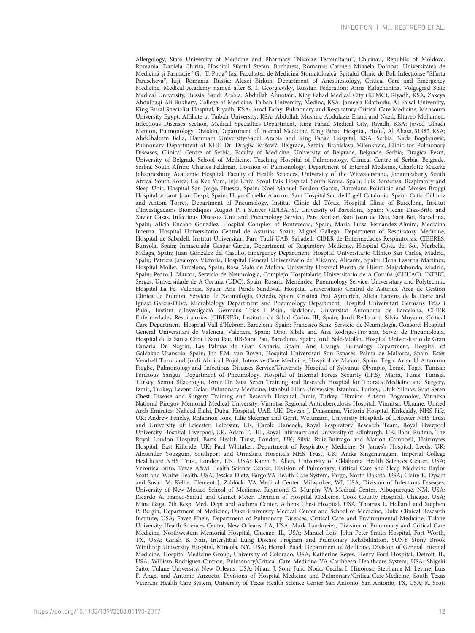Allergology, State University of Medicine and Pharmacy "Nicolae Testemitanu", Chisinau, Republic of Moldova. Romania: Daniela Chirita, Hospital Sfantul Stefan, Bucharest, Romania; Carmen Mihaela Dorobat, Universitatea de Medicină și Farmacie "Gr. T. Popa" Iași Facultatea de Medicină Stomatologică, Spitalul Clinic de Boli Infecțioase "Sfânta Parascheva", Iaşi, Romania. Russia: Alexei Birkun, Department of Anesthesiology, Critical Care and Emergency Medicine, Medical Academy named after S. I. Georgievsky, Russian Federation; Anna Kaluzhenina, Volgograd State Medical University, Russia. Saudi Arabia: Abdullah Almotairi, King Fahad Medical City (KFMC), Riyadh, KSA; Zakeya Abdulbaqi Ali Bukhary, College of Medicine, Taibah University, Medina, KSA; Jameela Edathodu, Al Faisal University, King Faisal Specialist Hospital, Riyadh, KSA; Amal Fathy, Pulmonary and Respiratory Critical Care Medicine, Mansoura University Egypt, Affiliate at Taibah University, KSA; Abdullah Mushira Abdulaziz Enani and Nazik Eltayeb Mohamed, Infectious Diseases Section, Medical Specialties Department, King Fahad Medical City, Riyadh, KSA; Jawed Ulhadi Memon, Pulmonology Division, Department of Internal Medicine, King Fahad Hospital, Hofuf, Al Ahasa, 31982, KSA; Abdelhaleem Bella, Dammam University-Saudi Arabia and King Fahad Hospital, KSA. Serbia: Nada Bogdanović, Pulmonary Department of KHC Dr. Dragiša Mišović, Belgrade, Serbia; Branislava Milenkovic, Clinic for Pulmonary Diseases, Clinical Centre of Serbia, Faculty of Medicine, University of Belgrade, Belgrade, Serbia; Dragica Pesut, University of Belgrade School of Medicine, Teaching Hospital of Pulmonology, Clinical Centre of Serbia, Belgrade, Serbia. South Africa: Charles Feldman, Division of Pulmonology, Department of Internal Medicine, Charlotte Maxeke Johannesburg Academic Hospital, Faculty of Health Sciences, University of the Witwatersrand, Johannesburg, South Africa. South Korea: Ho Kee Yum, Inje Univ. Seoul Paik Hospital, South Korea. Spain: Luis Borderìas, Respiratory and Sleep Unit, Hospital San Jorge, Huesca, Spain; Noel Manuel Bordon Garcia, Barcelona Policlínic and Moises Broggi Hospital at sant Joan Despí, Spain; Hugo Cabello Alarcón, Sant Hospital Seu de Urgell, Catalonia, Spain; Catia Cilloniz and Antoni Torres, Department of Pneumology, Institut Clinic del Tórax, Hospital Clinic of Barcelona, Institut d'Investigacions Biomèdiques August Pi i Sunyer (IDIBAPS), University of Barcelona, Spain; Vicens Diaz-Brito and Xavier Casas, Infectious Diseases Unit and Pneumology Service, Parc Sanitari Sant Joan de Deu, Sant Boi, Barcelona, Spain; Alicia Encabo González, Hospital Complex of Pontevedra, Spain; Maria Luisa Fernández-Almira, Medicina Interna, Hospital Universitario Central de Asturias, Spain; Miguel Gallego, Department of Respiratory Medicine, Hospital de Sabadell, Institut Universitari Parc Taulí-UAB, Sabadell, CIBER de Enfermedades Respiratorias, CIBERES, Bunyola, Spain; Inmaculada Gaspar-García, Department of Respiratory Medicine, Hospital Costa del Sol, Marbella, Málaga, Spain; Juan González del Castillo, Emergency Department, Hospital Universitario Clínico San Carlos, Madrid, Spain; Patricia Javaloyes Victoria, Hospital General Universitario de Alicante, Alicante, Spain; Elena Laserna Martínez, Hospital Mollet, Barcelona, Spain; Rosa Malo de Molina, University Hospital Puerta de Hierro Majadahonda, Madrid, Spain; Pedro J. Marcos, Servicio de Neumología, Complejo Hospitalario Universitario de A Coruña (CHUAC), INIBIC, Sergas, Universidade de A Coruña (UDC), Spain; Rosario Menéndez, Pneumology Service, Universitary and Polytechnic Hospital La Fe, Valencia, Spain; Ana Pando-Sandoval, Hospital Universitario Central de Asturias. Area de Gestion Clinica de Pulmon. Servicio de Neumologia, Oviedo, Spain; Cristina Prat Aymerich, Alicia Lacoma de la Torre and Ignasi García-Olivé, Microbiology Department and Pneumology Department, Hospital Universitari Germans Trias i Pujol, Institut d'Investigació Germans Trias i Pujol, Badalona, Universitat Autònoma de Barcelona, CIBER Enfermedades Respiratorias (CIBERES), Instituto de Salud Carlos III, Spain; Jordi Rello and Silvia Moyano, Critical Care Department, Hospital Vall d'Hebron, Barcelona, Spain; Francisco Sanz, Servicio de Neumología, Consorci Hospital General Universitari de Valencia, Valencia, Spain; Oriol Sibila and Ana Rodrigo-Troyano, Servei de Pneumologia, Hospital de la Santa Creu i Sant Pau, IIB-Sant Pau, Barcelona, Spain; Jordi Solé-Violán, Hospital Universitario de Gran Canaria Dr Negrín, Las Palmas de Gran Canaria, Spain; Ane Uranga, Pulmology Department, Hospital of Galdakao-Usansolo, Spain; Job F.M. van Boven, Hospital Universitari Son Espases, Palma de Mallorca, Spain; Ester Vendrell Torra and Jordi Almirall Pujol, Intensive Care Medicine, Hospital de Mataró, Spain. Togo: Arnauld Attannon Fiogbe, Pulmonology and Infectious Diseases Service/University Hospital of Sylvanus Olympio, Lomé, Togo. Tunisia: Ferdaous Yangui, Department of Pneumology, Hospital of Internal Forces Security (I.F.S), Marsa, Tunis, Tunisia. Turkey: Semra Bilaceroglu, Izmir Dr. Suat Seren Training and Research Hospital for Thoracic Medicine and Surgery, Izmir, Turkey; Levent Dalar, Pulmonary Medicine, Istanbul Bilim University, Istanbul, Turkey; Ufuk Yilmaz, Suat Seren Chest Disease and Surgery Training and Research Hospital, İzmir, Turkey. Ukraine: Artemii Bogomolov, Vinnitsa National Pirogov Memorial Medical University, Vinnitsa Regional Antituberculosis Hospital, Vinnitsa, Ukraine. United Arab Emirates: Naheed Elahi, Dubai Hospital, UAE. UK: Devesh J. Dhasmana, Victoria Hospital, Kirkcaldy, NHS Fife, UK; Andrew Feneley, Rhiannon Ions, Julie Skeemer and Gerrit Woltmann, University Hospitals of Leicester NHS Trust and University of Leicester, Leicester, UK; Carole Hancock, Royal Respiratory Research Team, Royal Liverpool University Hospital, Liverpool, UK; Adam T. Hill, Royal Infirmary and University of Edinburgh, UK; Banu Rudran, The Royal London Hospital, Barts Health Trust, London, UK; Silvia Ruiz-Buitrago and Marion Campbell, Hairmyres Hospital, East Kilbride, UK; Paul Whitaker, Department of Respiratory Medicine, St James's Hospital, Leeds, UK; Alexander Youzguin, Southport and Ormskirk Hospitals NHS Trust, UK; Anika Singanayagam, Imperial College Healthcare NHS Trust, London, UK. USA: Karen S. Allen, University of Oklahoma Health Sciences Center, USA; Veronica Brito, Texas A&M Health Science Center, Division of Pulmonary, Critical Care and Sleep Medicine Baylor Scott and White Health, USA; Jessica Dietz, Fargo VA Health Care System, Fargo, North Dakota, USA; Claire E. Dysart and Susan M. Kellie, Clement J. Zablocki VA Medical Center, Milwaukee, WI, USA, Division of Infectious Diseases, University of New Mexico School of Medicine, Raymond G. Murphy VA Medical Center, Albuquerque, NM, USA; Ricardo A. Franco-Sadud and Garnet Meier, Division of Hospital Medicine, Cook County Hospital, Chicago, USA; Mina Gaga, 7th Resp. Med. Dept and Asthma Center, Athens Chest Hospital, USA; Thomas L. Holland and Stephen P. Bergin, Department of Medicine, Duke University Medical Center and School of Medicine, Duke Clinical Research Institute, USA; Fayez Kheir, Department of Pulmonary Diseases, Critical Care and Environmental Medicine, Tulane University Health Sciences Center, New Orleans, LA, USA; Mark Landmeier, Division of Pulmonary and Critical Care Medicine, Northwestern Memorial Hospital, Chicago, IL, USA; Manuel Lois, John Peter Smith Hospital, Fort Worth, TX, USA; Girish B. Nair, Interstitial Lung Disease Program and Pulmonary Rehabilitation, SUNY Stony Brook Winthrop University Hospital, Mineola, NY, USA; Hemali Patel, Department of Medicine, Division of General Internal Medicine, Hospital Medicine Group, University of Colorado, USA; Katherine Reyes, Henry Ford Hospital, Detroit, IL, USA; William Rodriguez-Cintron, Pulmonary/Critical Care Medicine VA Caribbean Healthcare System, USA; Shigeki Saito, Tulane University, New Orleans, USA; Nilam J. Soni, Julio Noda, Cecilia I. Hinojosa, Stephanie M. Levine, Luis F. Angel and Antonio Anzueto, Divisions of Hospital Medicine and Pulmonary/Critical Care Medicine, South Texas Veterans Health Care System, University of Texas Health Science Center San Antonio, San Antonio, TX, USA; K. Scott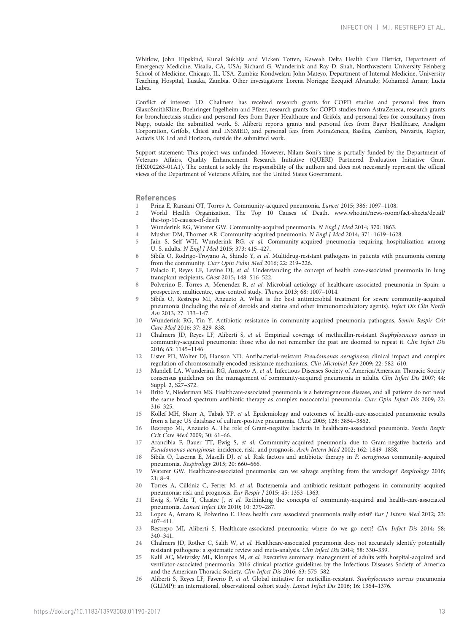<span id="page-12-0"></span>Whitlow, John Hipskind, Kunal Sukhija and Vicken Totten, Kaweah Delta Health Care District, Department of Emergency Medicine, Visalia, CA, USA; Richard G. Wunderink and Ray D. Shah, Northwestern University Feinberg School of Medicine, Chicago, IL, USA. Zambia: Kondwelani John Mateyo, Department of Internal Medicine, University Teaching Hospital, Lusaka, Zambia. Other investigators: Lorena Noriega; Ezequiel Alvarado; Mohamed Aman; Lucía Labra.

Conflict of interest: J.D. Chalmers has received research grants for COPD studies and personal fees from GlaxoSmithKline, Boehringer Ingelheim and Pfizer, research grants for COPD studies from AstraZeneca, research grants for bronchiectasis studies and personal fees from Bayer Healthcare and Grifols, and personal fees for consultancy from Napp, outside the submitted work. S. Aliberti reports grants and personal fees from Bayer Healthcare, Aradigm Corporation, Grifols, Chiesi and INSMED, and personal fees from AstraZeneca, Basilea, Zambon, Novartis, Raptor, Actavis UK Ltd and Horizon, outside the submitted work.

Support statement: This project was unfunded. However, Nilam Soni's time is partially funded by the Department of Veterans Affairs, Quality Enhancement Research Initiative (QUERI) Partnered Evaluation Initiative Grant (HX002263-01A1). The content is solely the responsibility of the authors and does not necessarily represent the official views of the Department of Veterans Affairs, nor the United States Government.

References

- 1 Prina E, Ranzani OT, Torres A. Community-acquired pneumonia. Lancet 2015; 386: 1097–1108.
- 2 World Health Organization. The Top 10 Causes of Death. [www.who.int/news-room/fact-sheets/detail/](http://www.who.int/news-room/fact-sheets/detail/the-top-10-causes-of-death) [the-top-10-causes-of-death](http://www.who.int/news-room/fact-sheets/detail/the-top-10-causes-of-death)
- 3 Wunderink RG, Waterer GW. Community-acquired pneumonia. N Engl J Med 2014; 370: 1863.
- 4 Musher DM, Thorner AR. Community-acquired pneumonia. N Engl J Med 2014; 371: 1619–1628.
- 5 Jain S, Self WH, Wunderink RG, et al. Community-acquired pneumonia requiring hospitalization among U. S. adults. N Engl J Med 2015; 373: 415–427.
- 6 Sibila O, Rodrigo-Troyano A, Shindo Y, et al. Multidrug-resistant pathogens in patients with pneumonia coming from the community. Curr Opin Pulm Med 2016; 22: 219–226.
- 7 Palacio F, Reyes LF, Levine DJ, et al. Understanding the concept of health care-associated pneumonia in lung transplant recipients. Chest 2015; 148: 516–522.
- 8 Polverino E, Torres A, Menendez R, et al. Microbial aetiology of healthcare associated pneumonia in Spain: a prospective, multicentre, case-control study. Thorax 2013; 68: 1007–1014.
- 9 Sibila O, Restrepo MI, Anzueto A. What is the best antimicrobial treatment for severe community-acquired pneumonia (including the role of steroids and statins and other immunomodulatory agents). Infect Dis Clin North Am 2013; 27: 133–147.
- 10 Wunderink RG, Yin Y. Antibiotic resistance in community-acquired pneumonia pathogens. Semin Respir Crit Care Med 2016; 37: 829–838.
- 11 Chalmers JD, Reyes LF, Aliberti S, et al. Empirical coverage of methicillin-resistant Staphylococcus aureus in community-acquired pneumonia: those who do not remember the past are doomed to repeat it. Clin Infect Dis 2016; 63: 1145–1146.
- Lister PD, Wolter DJ, Hanson ND. Antibacterial-resistant Pseudomonas aeruginosa: clinical impact and complex regulation of chromosomally encoded resistance mechanisms. Clin Microbiol Rev 2009; 22: 582–610.
- 13 Mandell LA, Wunderink RG, Anzueto A, et al. Infectious Diseases Society of America/American Thoracic Society consensus guidelines on the management of community-acquired pneumonia in adults. Clin Infect Dis 2007; 44: Suppl. 2, S27–S72.
- 14 Brito V, Niederman MS. Healthcare-associated pneumonia is a heterogeneous disease, and all patients do not need the same broad-spectrum antibiotic therapy as complex nosocomial pneumonia. Curr Opin Infect Dis 2009; 22: 316–325.
- 15 Kollef MH, Shorr A, Tabak YP, et al. Epidemiology and outcomes of health-care-associated pneumonia: results from a large US database of culture-positive pneumonia. Chest 2005; 128: 3854–3862.
- 16 Restrepo MI, Anzueto A. The role of Gram-negative bacteria in healthcare-associated pneumonia. Semin Respir Crit Care Med 2009; 30: 61–66.
- 17 Arancibia F, Bauer TT, Ewig S, et al. Community-acquired pneumonia due to Gram-negative bacteria and Pseudomonas aeruginosa: incidence, risk, and prognosis. Arch Intern Med 2002; 162: 1849–1858.
- 18 Sibila O, Laserna E, Maselli DJ, et al. Risk factors and antibiotic therapy in P. aeruginosa community-acquired pneumonia. Respirology 2015; 20: 660–666.
- 19 Waterer GW. Healthcare-associated pneumonia: can we salvage anything from the wreckage? Respirology 2016; 21: 8–9.
- 20 Torres A, Cillóniz C, Ferrer M, et al. Bacteraemia and antibiotic-resistant pathogens in community acquired pneumonia: risk and prognosis. Eur Respir J 2015; 45: 1353–1363.
- 21 Ewig S, Welte T, Chastre J, et al. Rethinking the concepts of community-acquired and health-care-associated pneumonia. Lancet Infect Dis 2010; 10: 279–287.
- 22 Lopez A, Amaro R, Polverino E. Does health care associated pneumonia really exist? Eur J Intern Med 2012; 23: 407–411.
- 23 Restrepo MI, Aliberti S. Healthcare-associated pneumonia: where do we go next? Clin Infect Dis 2014; 58: 340–341.
- 24 Chalmers JD, Rother C, Salih W, et al. Healthcare-associated pneumonia does not accurately identify potentially resistant pathogens: a systematic review and meta-analysis. Clin Infect Dis 2014; 58: 330–339.
- 25 Kalil AC, Metersky ML, Klompas M, et al. Executive summary: management of adults with hospital-acquired and ventilator-associated pneumonia: 2016 clinical practice guidelines by the Infectious Diseases Society of America and the American Thoracic Society. Clin Infect Dis 2016; 63: 575–582.
- 26 Aliberti S, Reyes LF, Faverio P, et al. Global initiative for meticillin-resistant Staphylococcus aureus pneumonia (GLIMP): an international, observational cohort study. Lancet Infect Dis 2016; 16: 1364–1376.